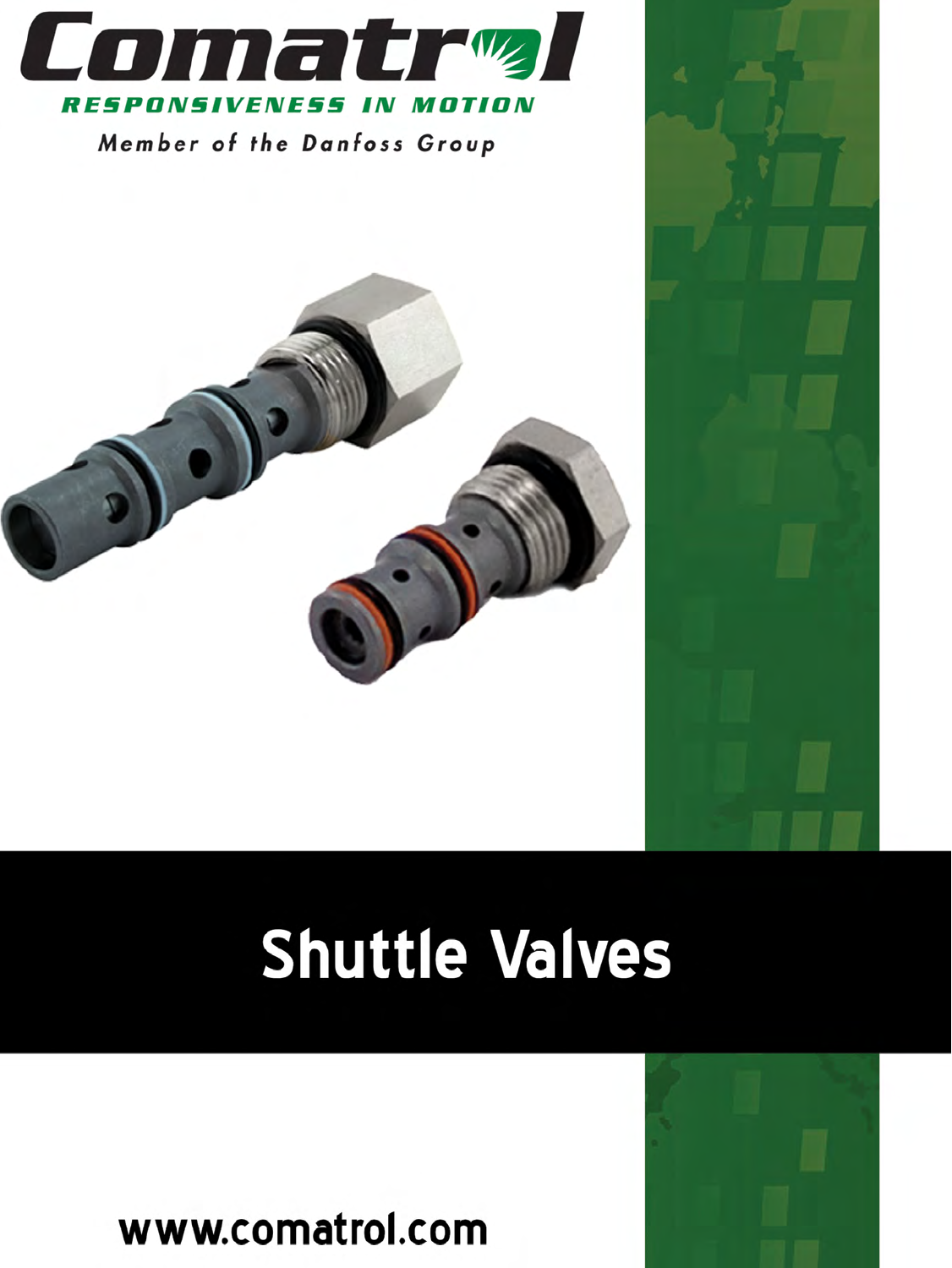

Member of the Danfoss Group



www.comatrol.com

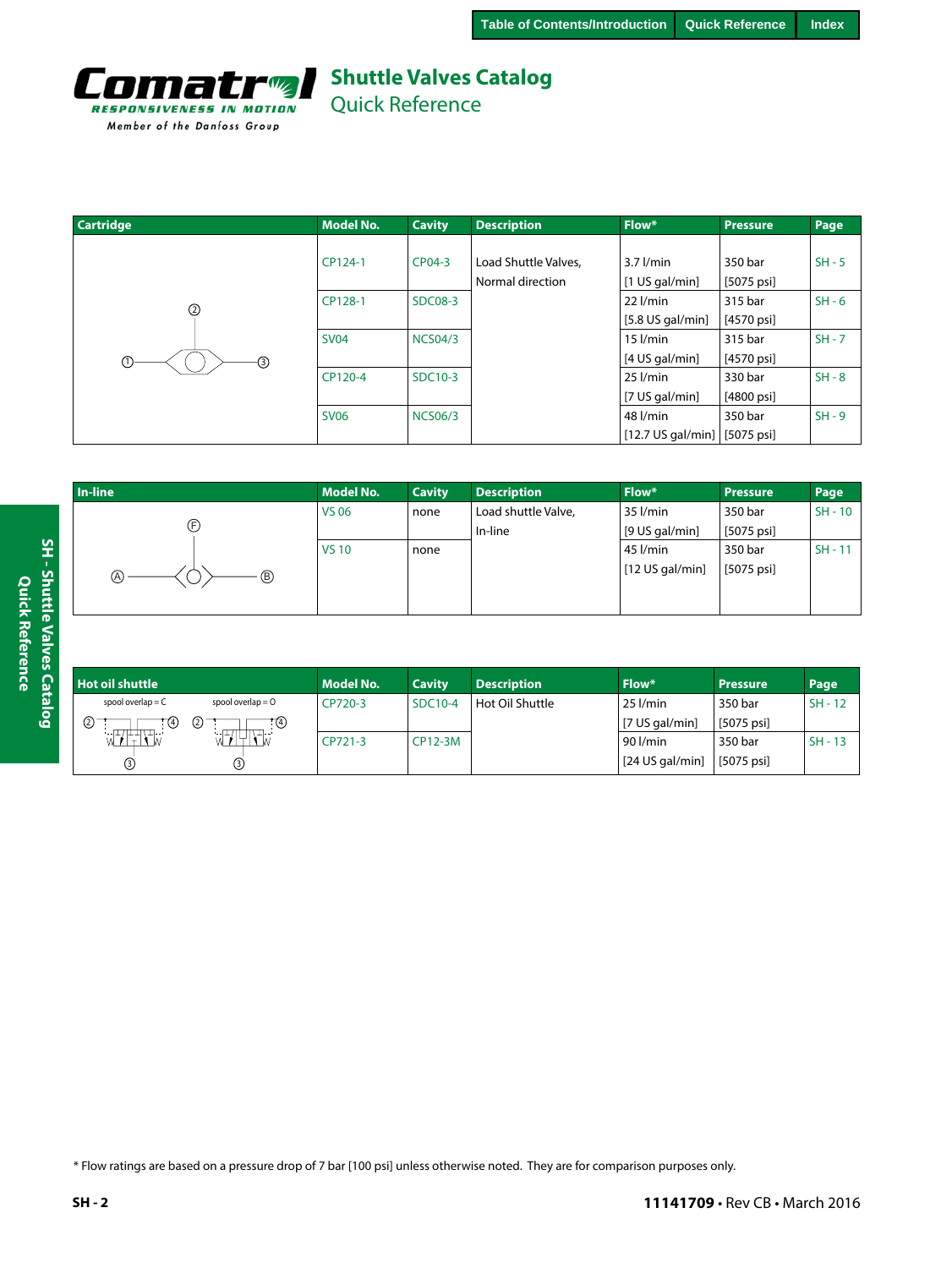

Quick Reference

| <b>Cartridge</b>   | <b>Model No.</b> | <b>Cavity</b>  | <b>Description</b>   | Flow*                       | <b>Pressure</b>         | Page     |
|--------------------|------------------|----------------|----------------------|-----------------------------|-------------------------|----------|
|                    |                  |                |                      |                             |                         |          |
|                    | CP124-1          | CP04-3         | Load Shuttle Valves, | $3.7$ $l/min$               | 350 bar                 | $SH - 5$ |
|                    |                  |                | Normal direction     | $[1$ US gal/min]            | $[5075 \text{ psi}]$    |          |
| ②                  | CP128-1          | <b>SDC08-3</b> |                      | $22$ $l/min$                | 315 bar                 | $SH - 6$ |
|                    |                  |                |                      | $[5.8$ US gal/min]          | $[4570 \text{ psi}]$    |          |
|                    | <b>SV04</b>      | <b>NCS04/3</b> |                      | $15$ $l/min$                | 315 bar                 | $SH - 7$ |
| $^\copyright$<br>⊚ |                  |                |                      | [4 US gal/min]              | $[4570 \,\mathrm{psi}]$ |          |
|                    | CP120-4          | SDC10-3        |                      | $25$ $l/min$                | 330 bar                 | $SH - 8$ |
|                    |                  |                |                      | [7 US gal/min]              | $[4800 \text{ psi}]$    |          |
|                    | <b>SV06</b>      | <b>NCS06/3</b> |                      | 48 l/min                    | 350 bar                 | $SH - 9$ |
|                    |                  |                |                      | $[12.7 \text{ US gal/min}]$ | [5075 psi]              |          |

| In-line   | <b>Model No.</b> | <b>Cavity</b> | <b>Description</b>  | Flow*           | <b>Pressure</b> | Page      |
|-----------|------------------|---------------|---------------------|-----------------|-----------------|-----------|
|           | <b>VS 06</b>     | none          | Load shuttle Valve, | 35 l/min        | 350 bar         | $SH - 10$ |
| Œ         |                  |               | In-line             | [9 US gal/min]  | [5075 psi]      |           |
|           | <b>VS10</b>      | none          |                     | 45 l/min        | 350 bar         | $SH - 11$ |
| (A)<br>B) |                  |               |                     | [12 US gal/min] | [5075 psi]      |           |
|           |                  |               |                     |                 |                 |           |

| <b>Hot oil shuttle</b> |                                                                                                                                                                                                                                                                                                                                                                 | <b>Model No.</b> | <b>Cavity</b> | <b>Description</b> | Flow*                    | <b>Pressure</b> | Page      |
|------------------------|-----------------------------------------------------------------------------------------------------------------------------------------------------------------------------------------------------------------------------------------------------------------------------------------------------------------------------------------------------------------|------------------|---------------|--------------------|--------------------------|-----------------|-----------|
| spool overlap $= C$    | spool overlap $= 0$                                                                                                                                                                                                                                                                                                                                             | CP720-3          | SDC10-4       | Hot Oil Shuttle    | $25$ $l/min$             | 350 bar         | $SH - 12$ |
| (2)<br><b>T4</b>       | ②<br>:ල                                                                                                                                                                                                                                                                                                                                                         |                  |               |                    | $[7 \text{ US gal/min}]$ | [5075 psi]      |           |
| -------------          | $\begin{picture}(100,100) \put(0,0){\dashbox{0.5}(100,0){ }} \put(10,0){\dashbox{0.5}(100,0){ }} \put(10,0){\dashbox{0.5}(100,0){ }} \put(10,0){\dashbox{0.5}(100,0){ }} \put(10,0){\dashbox{0.5}(100,0){ }} \put(10,0){\dashbox{0.5}(100,0){ }} \put(10,0){\dashbox{0.5}(100,0){ }} \put(10,0){\dashbox{0.5}(100,0){ }} \put(10,0){\dashbox{0.5}(100,0){ }} \$ | CP721-3          | CP12-3M       |                    | 90 l/min                 | 350 bar         | $SH - 13$ |
| ல                      | ☺                                                                                                                                                                                                                                                                                                                                                               |                  |               |                    | $[24$ US gal/min]        | [5075 psi]      |           |

\* Flow ratings are based on a pressure drop of 7 bar [100 psi] unless otherwise noted. They are for comparison purposes only.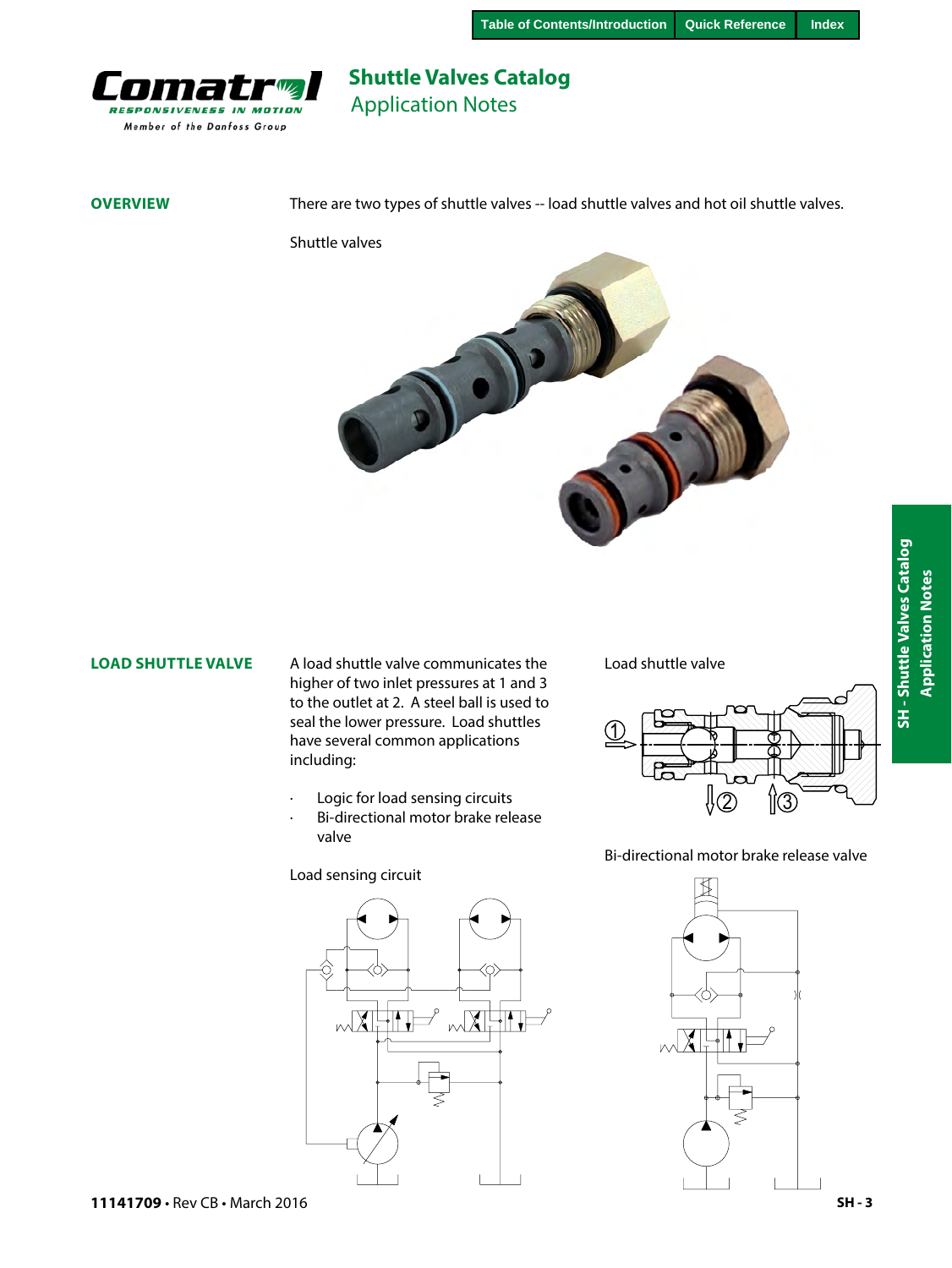

## **Shuttle Valves Catalog** Application Notes

**OVERVIEW** There are two types of shuttle valves -- load shuttle valves and hot oil shuttle valves.

Shuttle valves



#### **LOAD SHUTTLE VALVE**

A load shuttle valve communicates the Load shuttle valve higher of two inlet pressures at 1 and 3 to the outlet at 2. A steel ball is used to seal the lower pressure. Load shuttles have several common applications including:

- Logic for load sensing circuits
- Bi-directional motor brake release valve

Load sensing circuit





Bi-directional motor brake release valve

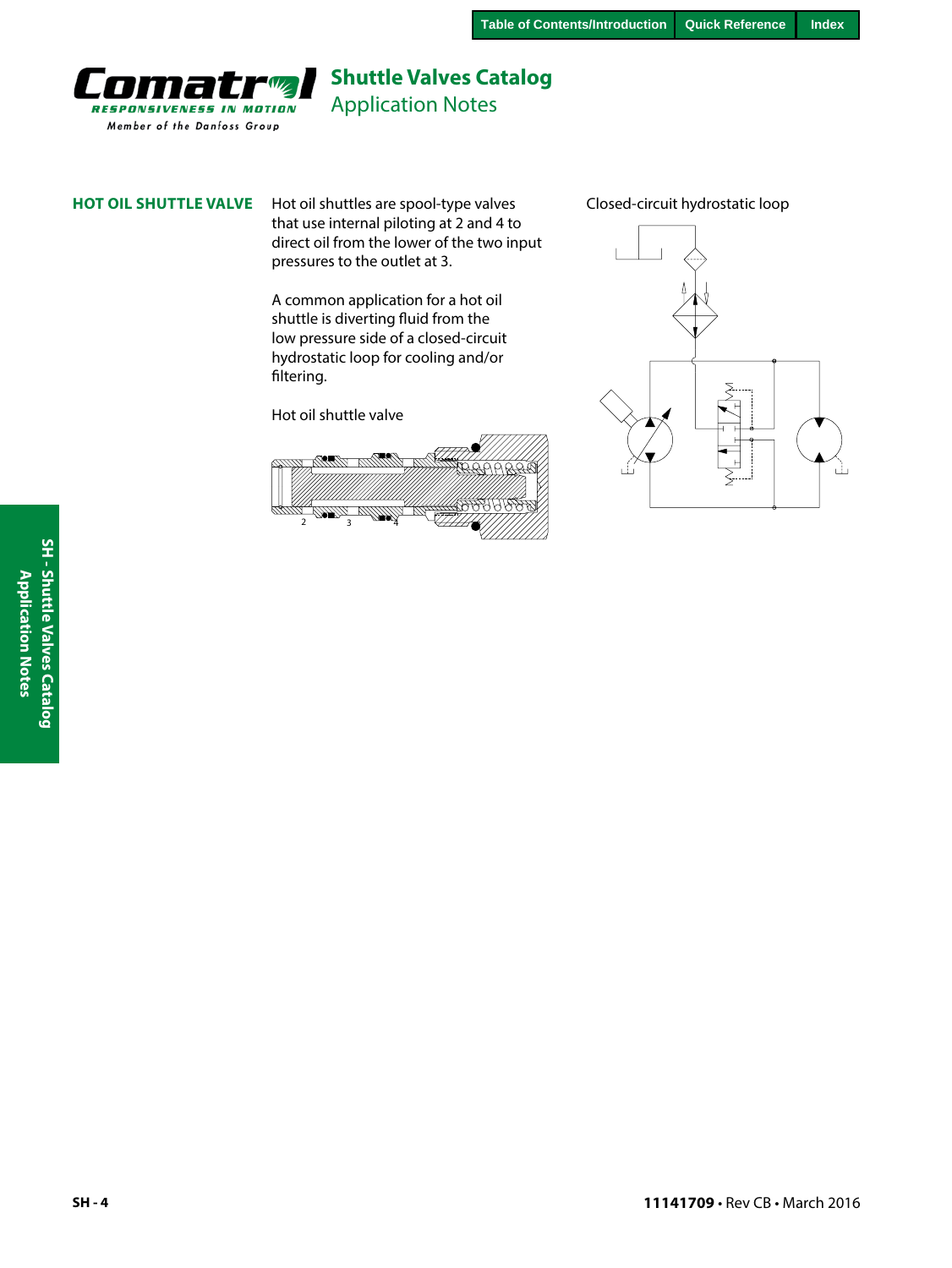

Application Notes

**HOT OIL SHUTTLE VALVE** Hot oil shuttles are spool-type valves Closed-circuit hydrostatic loop that use internal piloting at 2 and 4 to direct oil from the lower of the two input pressures to the outlet at 3.

> A common application for a hot oil shuttle is diverting fluid from the low pressure side of a closed-circuit hydrostatic loop for cooling and/or filtering.

Hot oil shuttle valve



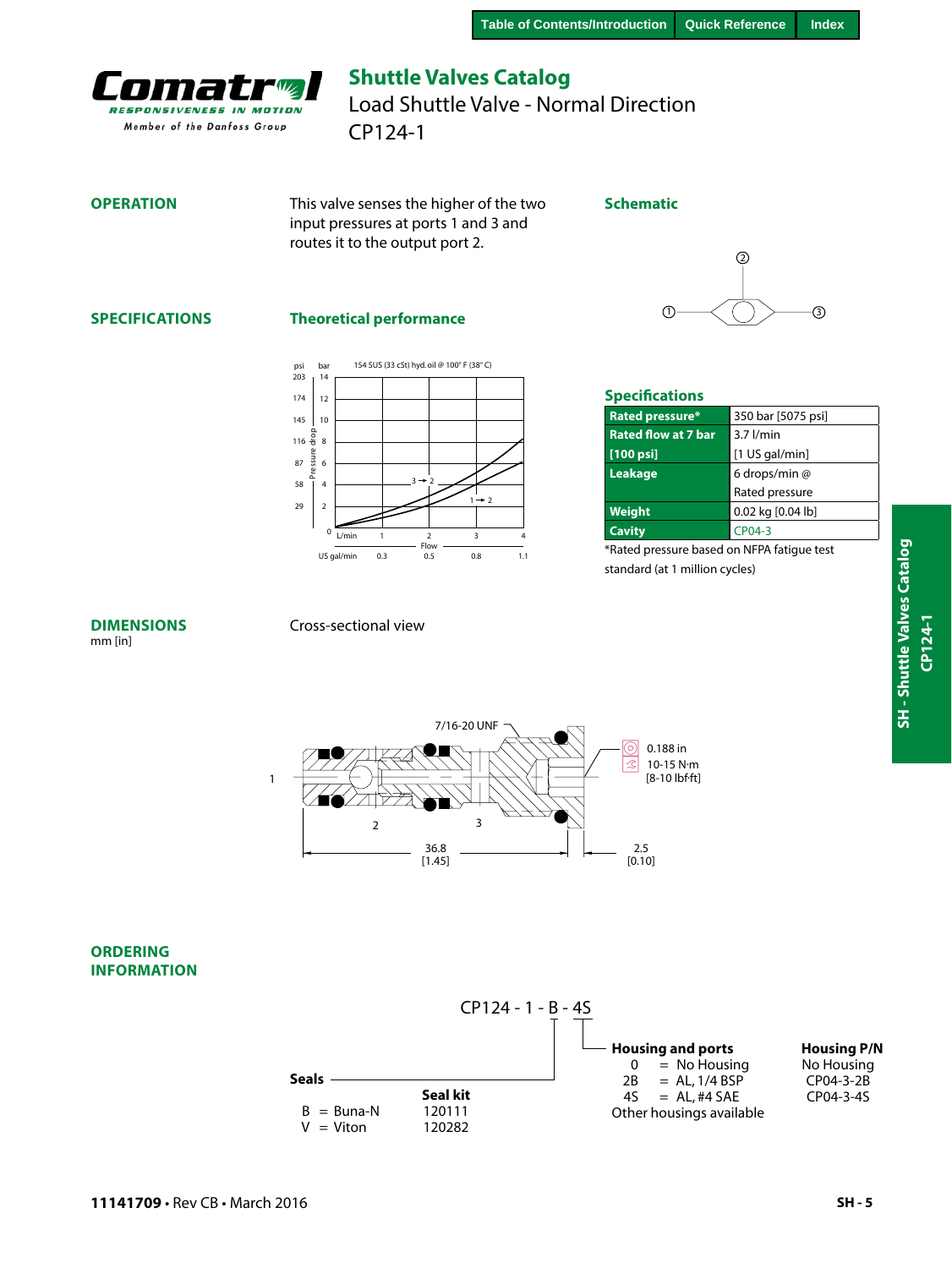<span id="page-4-0"></span>

## **Shuttle Valves Catalog** CP124-1 Load Shuttle Valve - Normal Direction

#### **OPERATION**

This valve senses the higher of the two input pressures at ports 1 and 3 and routes it to the output port 2.

#### **Schematic**

# 1 3  $\Omega$

#### **SPECIFICATIONS**

#### **Theoretical performance**



| <b>Specifications</b>      |                    |  |  |  |
|----------------------------|--------------------|--|--|--|
| Rated pressure*            | 350 bar [5075 psi] |  |  |  |
| <b>Rated flow at 7 bar</b> | $3.7$ $l/min$      |  |  |  |
| $[100$ psi]                | $[1$ US gal/min]   |  |  |  |
| Leakage                    | 6 drops/min @      |  |  |  |
|                            | Rated pressure     |  |  |  |
| <b>Weight</b>              | 0.02 kg [0.04 lb]  |  |  |  |
| Cavitv                     | CP04-3             |  |  |  |

\*Rated pressure based on NFPA fatigue test standard (at 1 million cycles)

#### **DIMENSIONS** mm [in]

#### Cross-sectional view





#### **ORDERING INFORMATION**



**SH - Shuttle Valves Catalog**

SH - Shuttle Valves Catalog

**CP124-1**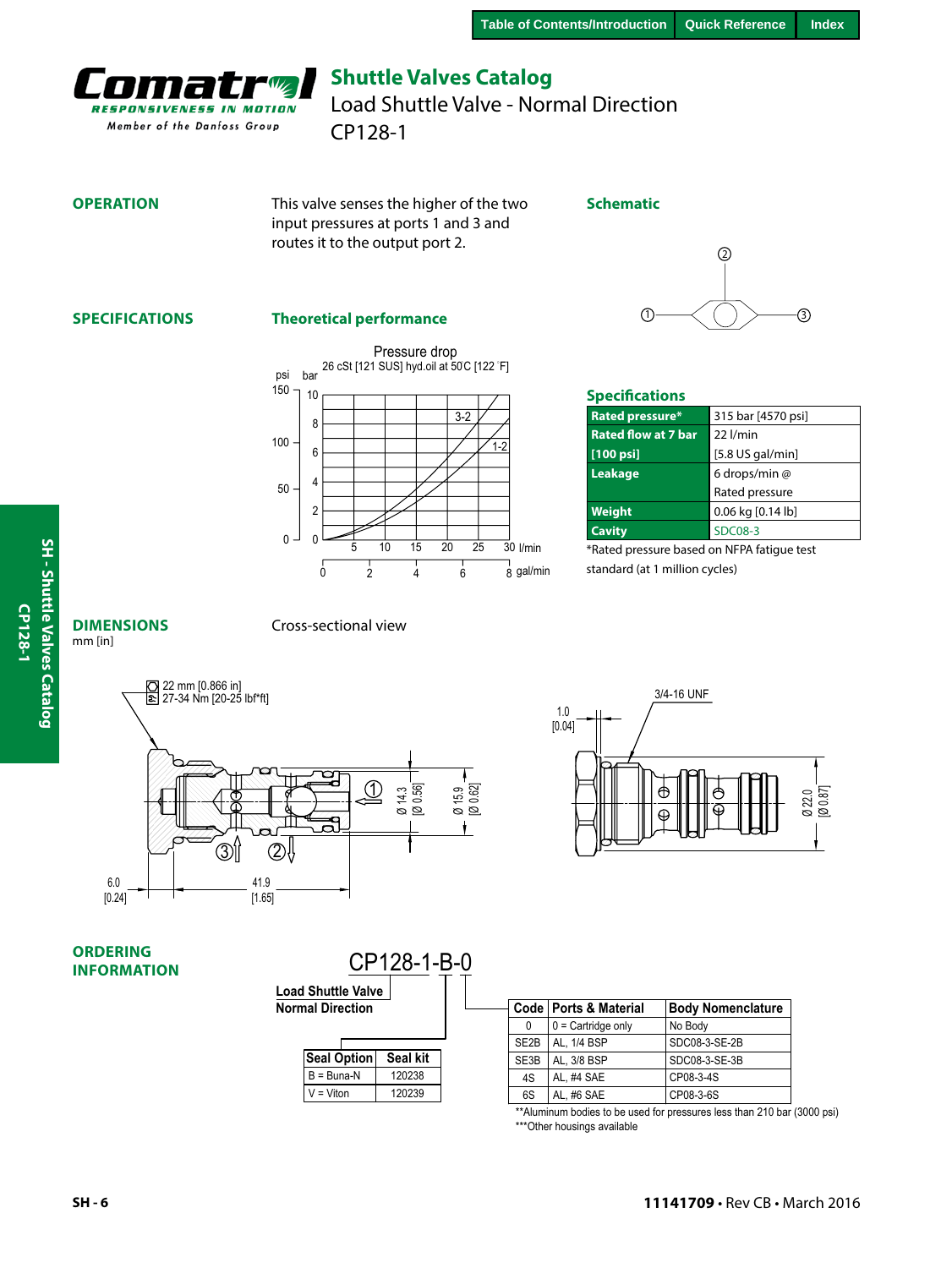<span id="page-5-0"></span>

CP128-1 Load Shuttle Valve - Normal Direction

#### **OPERATION**

This valve senses the higher of the two input pressures at ports 1 and 3 and routes it to the output port 2.

#### **Schematic**

## **SPECIFICATIONS**

#### **Theoretical performance**





#### **Specifications**

| Rated pressure*            | 315 bar [4570 psi] |
|----------------------------|--------------------|
| <b>Rated flow at 7 bar</b> | $22$ $l/min$       |
| $[100$ psi]                | $[5.8$ US gal/min] |
| Leakage                    | 6 drops/min @      |
|                            | Rated pressure     |
| Weight                     | 0.06 kg [0.14 lb]  |
| <b>Cavity</b>              | <b>SDC08-3</b>     |

\*Rated pressure based on NFPA fatigue test standard (at 1 million cycles)

# SH - Shuttle Valves Catalog **SH - Shuttle Valves Catalog**

**CP128-1**

CP128-1

**DIMENSIONS** mm [in]

Cross-sectional view





#### **ORDERING INFORMATION**

| <b>Load Shuttle Valve</b><br><b>Normal Direction</b> | CP128-1-B-0     |  |
|------------------------------------------------------|-----------------|--|
| <b>Seal Option</b>                                   | <b>Seal kit</b> |  |
| $B = B$ una-N                                        | 120238          |  |
| = Viton                                              | 120239          |  |

| al Direction  |          |                   | Code   Ports & Material | <b>Body Nomenclature</b> |
|---------------|----------|-------------------|-------------------------|--------------------------|
|               |          | 0                 | $0 =$ Cartridge only    | No Body                  |
|               |          | SE <sub>2</sub> B | AL. 1/4 BSP             | SDC08-3-SE-2B            |
| Seal Option   | Seal kit | SE3B              | AL. 3/8 BSP             | SDC08-3-SE-3B            |
| $B = B$ una-N | 120238   | 4S                | AL. #4 SAE              | CP08-3-4S                |
| $V = V$ iton  | 120239   | 6S                | AL, #6 SAE              | CP08-3-6S                |

\*\*Aluminum bodies to be used for pressures less than 210 bar (3000 psi) \*\*\*Other housings available

**SH - 6**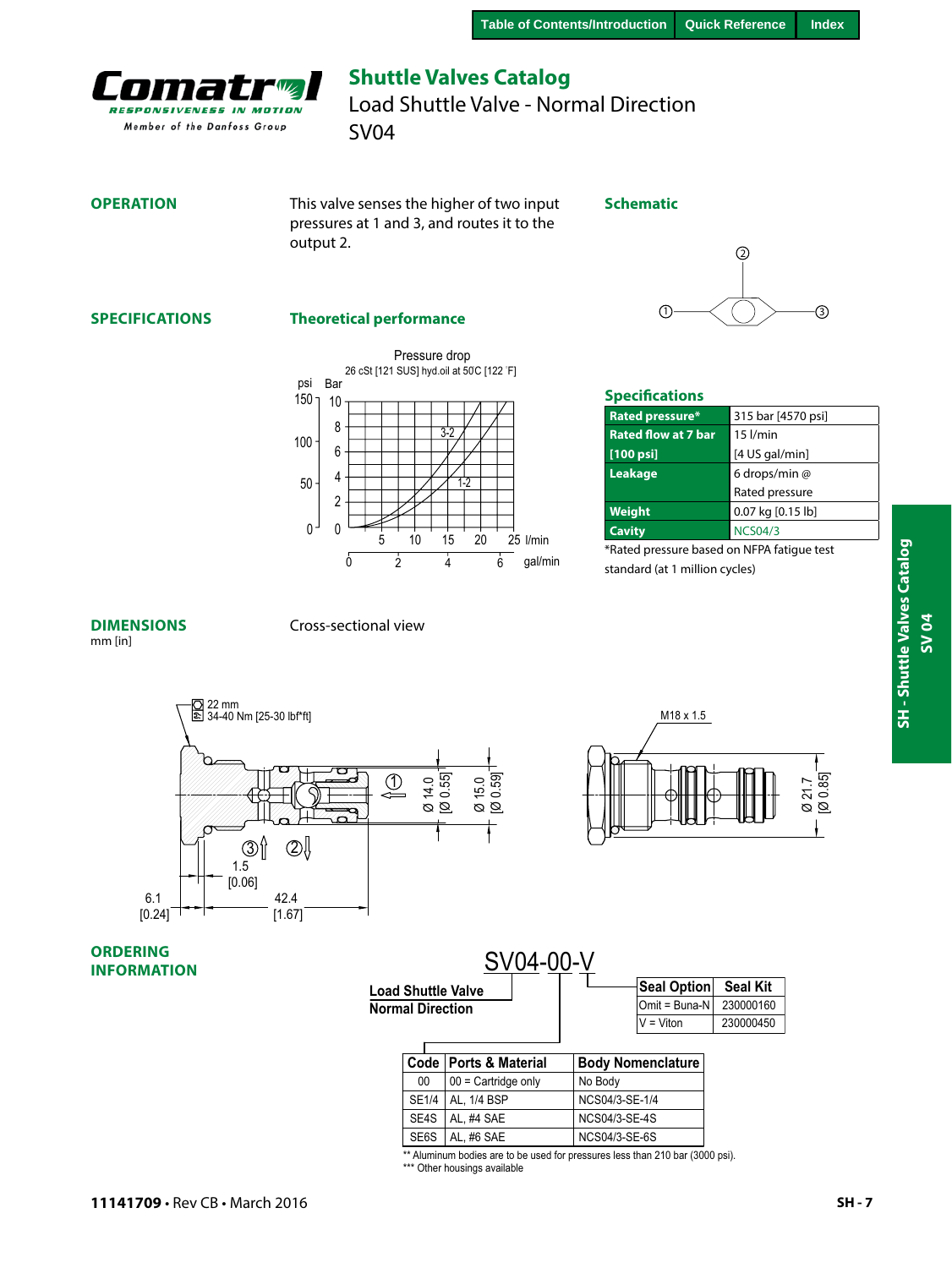**Schematic**

<span id="page-6-0"></span>

## **Shuttle Valves Catalog** Load Shuttle Valve - Normal Direction

SV04

#### **OPERATION**

This valve senses the higher of two input pressures at 1 and 3, and routes it to the output 2.



#### **SPECIFICATIONS**

#### **Theoretical performance**





#### **Specifications**

| Rated pressure*            | 315 bar [4570 psi] |
|----------------------------|--------------------|
| <b>Rated flow at 7 bar</b> | $15$ $l/min$       |
| $[100$ psi]                | [4 US gal/min]     |
| Leakage                    | 6 drops/min @      |
|                            | Rated pressure     |
| Weight                     | 0.07 kg [0.15 lb]  |
| <b>Cavity</b>              | <b>NCS04/3</b>     |

\*Rated pressure based on NFPA fatigue test standard (at 1 million cycles)

#### **DIMENSIONS**

#### Cross-sectional view

mm [in]







#### **ORDERING INFORMATION**

|                         | SV04-00-V                 |                      |                          |                 |
|-------------------------|---------------------------|----------------------|--------------------------|-----------------|
|                         | <b>Load Shuttle Valve</b> |                      | <b>Seal Option</b>       | <b>Seal Kit</b> |
| <b>Normal Direction</b> |                           |                      | $Omit = Buna-N$          | 230000160       |
|                         |                           |                      | $V = V$ iton             | 230000450       |
|                         |                           |                      |                          |                 |
|                         | Code   Ports & Material   |                      | <b>Body Nomenclature</b> |                 |
| 00                      | $00 =$ Cartridge only     | No Body              |                          |                 |
| <b>SE1/4</b>            | AL. 1/4 BSP               | NCS04/3-SE-1/4       |                          |                 |
| SE4S                    | AL. #4 SAE                | <b>NCS04/3-SE-4S</b> |                          |                 |

\*\* Aluminum bodies are to be used for pressures less than 210 bar (3000 psi).

SE6S AL, #6 SAE [NCS04/3-S](#page-29-0)E-6S

\*\*\* Other housings available

**SV 04**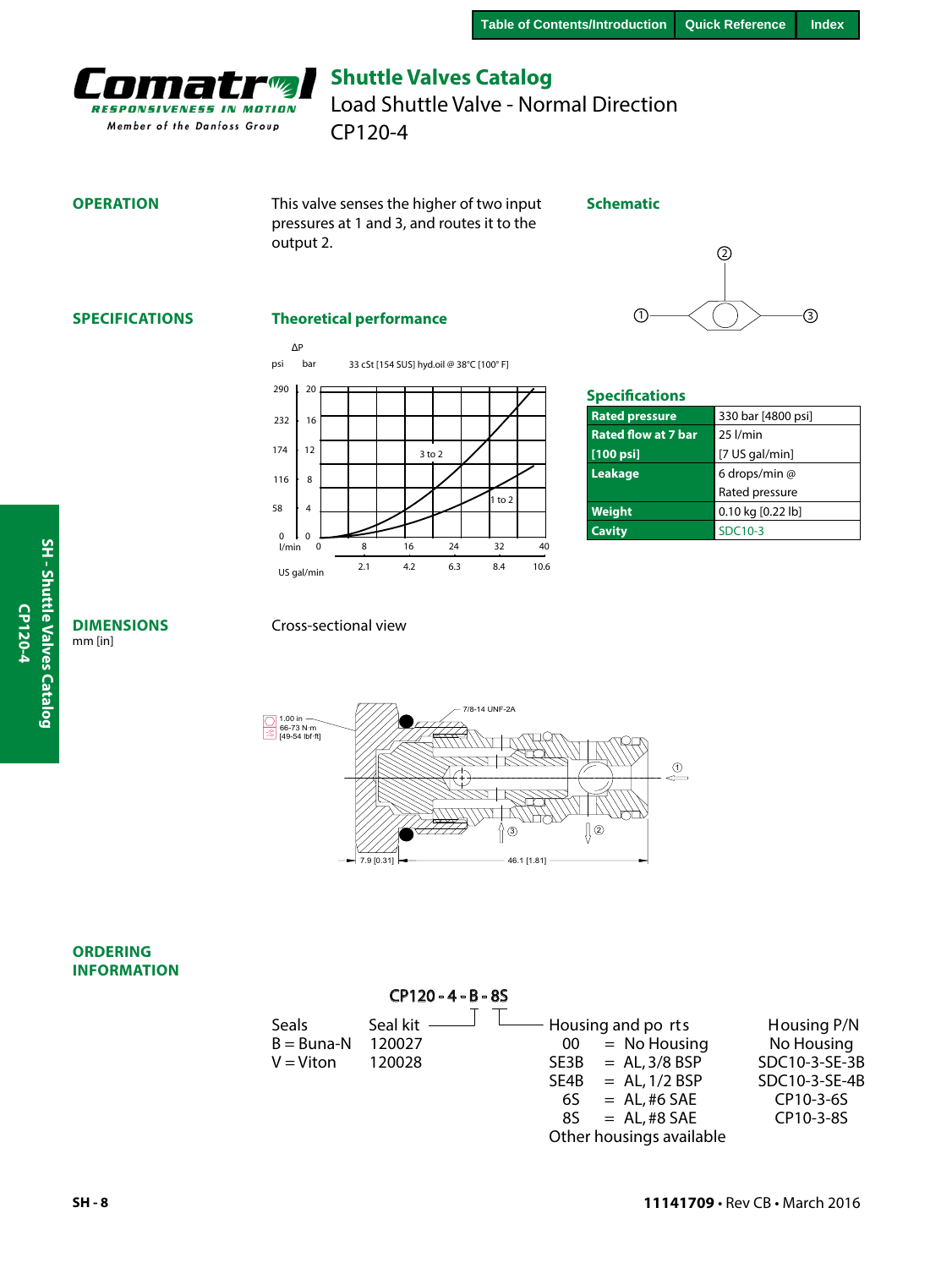<span id="page-7-0"></span>

CP120-4 Load Shuttle Valve - Normal Direction

#### **OPERATION**

This valve senses the higher of two input pressures at 1 and 3, and routes it to the output 2.

#### **Schematic**

## **SPECIFICATIONS**

#### **Theoretical performance**



|         | ② |    |
|---------|---|----|
|         |   |    |
| $\odot$ |   | З, |

#### **Specifications**

| <b>Rated pressure</b>      | 330 bar [4800 psi] |
|----------------------------|--------------------|
| <b>Rated flow at 7 bar</b> | $25$ $l/min$       |
| $[100$ psi]                | [7 US gal/min]     |
| Leakage                    | 6 drops/min @      |
|                            | Rated pressure     |
| Weight                     | 0.10 kg [0.22 lb]  |
| <b>Cavity</b>              | SDC10-3            |

#### Cross-sectional view



#### **ORDERING INFORMATION**

**DIMENSIONS**

mm [in]

|                                               | CP120-4-B-8S                     |                                                                                        |                                                                                  |                                                                                       |
|-----------------------------------------------|----------------------------------|----------------------------------------------------------------------------------------|----------------------------------------------------------------------------------|---------------------------------------------------------------------------------------|
| <b>Seals</b><br>$B = B$ una-N<br>$V = V$ iton | Seal kit $-$<br>120027<br>120028 | - Housing and po rts<br>00<br>$SE3B = AL, 3/8 BSP$<br>$SE4B = AL, 1/2 BSP$<br>6S<br>85 | $=$ No Housing<br>$= AL$ , #6 SAE<br>$= AL$ , #8 SAE<br>Other housings available | Housing P/N<br>No Housing<br>SDC10-3-SE-3B<br>SDC10-3-SE-4B<br>CP10-3-6S<br>CP10-3-8S |
|                                               |                                  |                                                                                        |                                                                                  |                                                                                       |

#### **11141709** • Rev CB • March 2016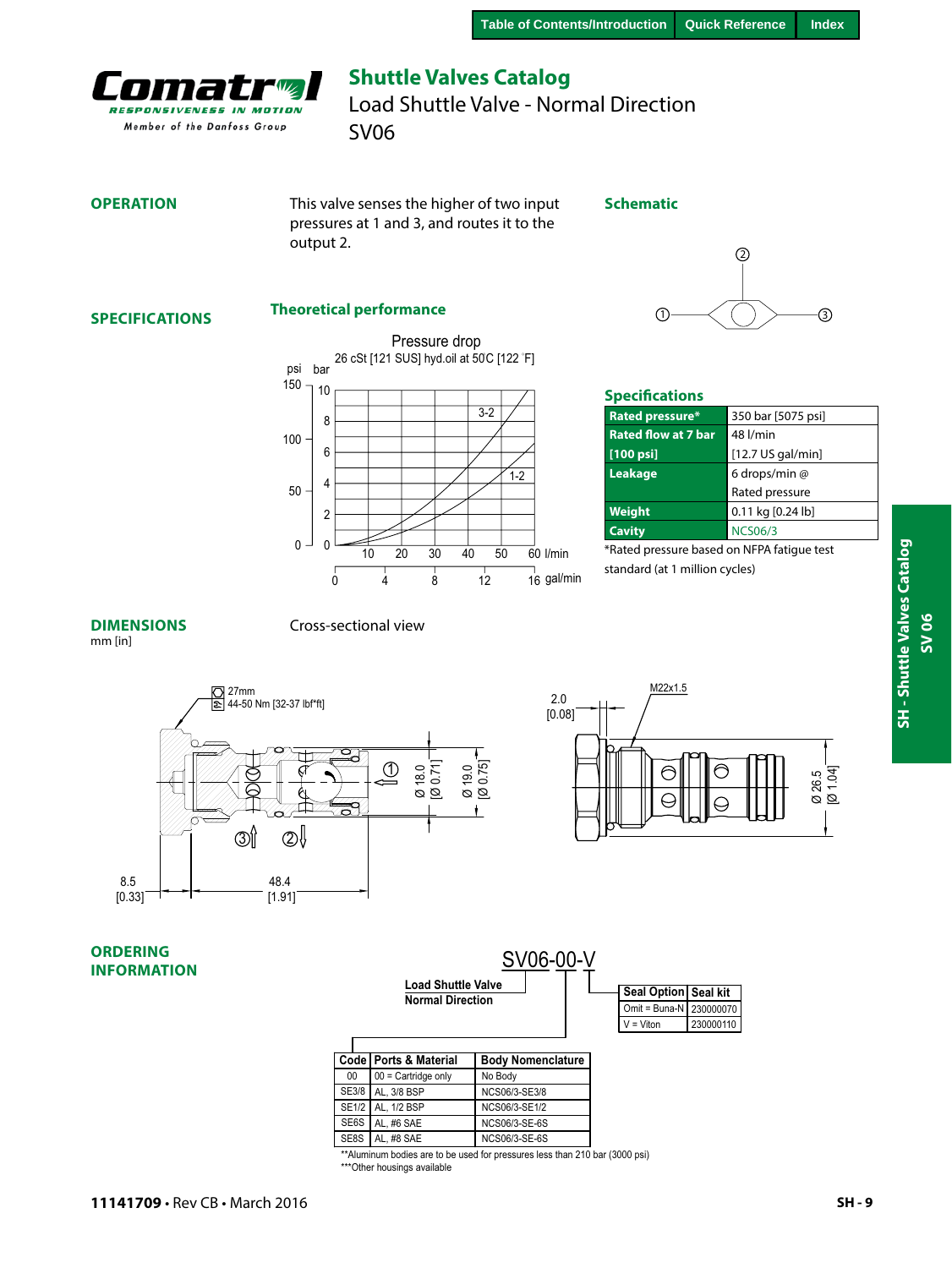<span id="page-8-0"></span>

SV06 Load Shuttle Valve - Normal Direction

#### **OPERATION**

This valve senses the higher of two input pressures at 1 and 3, and routes it to the output 2.

#### **Schematic**

#### **SPECIFICATIONS**

#### **Theoretical performance**





#### **Specifications**

| 350 bar [5075 psi]  |
|---------------------|
| 48 l/min            |
| $[12.7$ US gal/min] |
| 6 drops/min @       |
| Rated pressure      |
| 0.11 kg [0.24 lb]   |
| <b>NCS06/3</b>      |
|                     |

\*Rated pressure based on NFPA fatigue test standard (at 1 million cycles)

#### **DIMENSIONS**

#### Cross-sectional view

mm [in]





**ORDERING INFORMATION**

|              |                           | SV06-00-V                |                      |               |           |
|--------------|---------------------------|--------------------------|----------------------|---------------|-----------|
|              | <b>Load Shuttle Valve</b> |                          | Seal Option Seal kit |               |           |
|              | <b>Normal Direction</b>   |                          |                      | Omit = Buna-N | 230000070 |
|              |                           |                          |                      | $V = Viton$   | 230000110 |
|              |                           |                          |                      |               |           |
|              | Code   Ports & Material   | <b>Body Nomenclature</b> |                      |               |           |
| 00           | $00 =$ Cartridge only     | No Body                  |                      |               |           |
| SE3/8        | AL. 3/8 BSP               | NCS06/3-SE3/8            |                      |               |           |
| <b>SE1/2</b> | AL. 1/2 BSP               | NCS06/3-SE1/2            |                      |               |           |
| SE6S         | AL. #6 SAE                | <b>NCS06/3-SE-6S</b>     |                      |               |           |
| SE8S         | AI #8 SAF                 | NCS06/3-SE-6S            |                      |               |           |

\*\*Aluminum bodies are to be used for pressures less than 210 bar (3000 psi) \*\*\*Other housings available

**SH - Shuttle Valves Catalog**

SH - Shuttle Valves Catalog

**SV 06**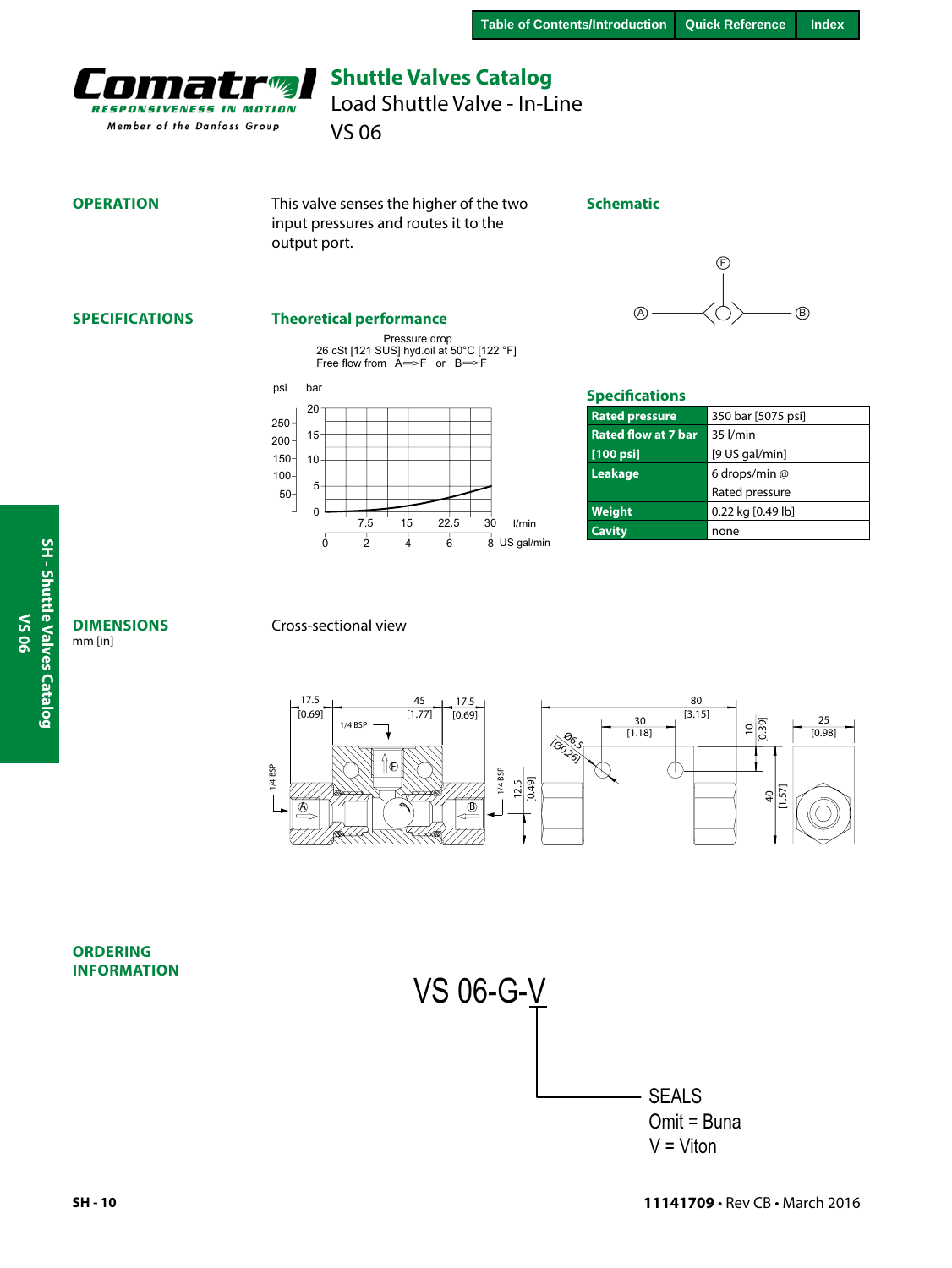<span id="page-9-0"></span>

Load Shuttle Valve - In-Line

VS 06

#### **OPERATION**

This valve senses the higher of the two input pressures and routes it to the output port.

#### **Schematic**



#### **SPECIFICATIONS**

#### **Theoretical performance**

Pressure drop 26 cSt [121 SUS] hyd.oil at 50°C [122 °F]<br>Free flow from A⇔F or B⇔F





### **Specifications**

| <b>Rated pressure</b>      | 350 bar [5075 psi] |
|----------------------------|--------------------|
| <b>Rated flow at 7 bar</b> | 35 l/min           |
| $[100$ psi]                | $[9$ US gal/min]   |
| Leakage                    | 6 drops/min @      |
|                            | Rated pressure     |
| Weight                     | 0.22 kg [0.49 lb]  |
| <b>Cavity</b>              | none               |

#### **DIMENSIONS** mm [in]

**SH - Shuttle Valves Catalog**

SH - Shuttle Valves Catalog

**VS 06**

#### Cross-sectional view



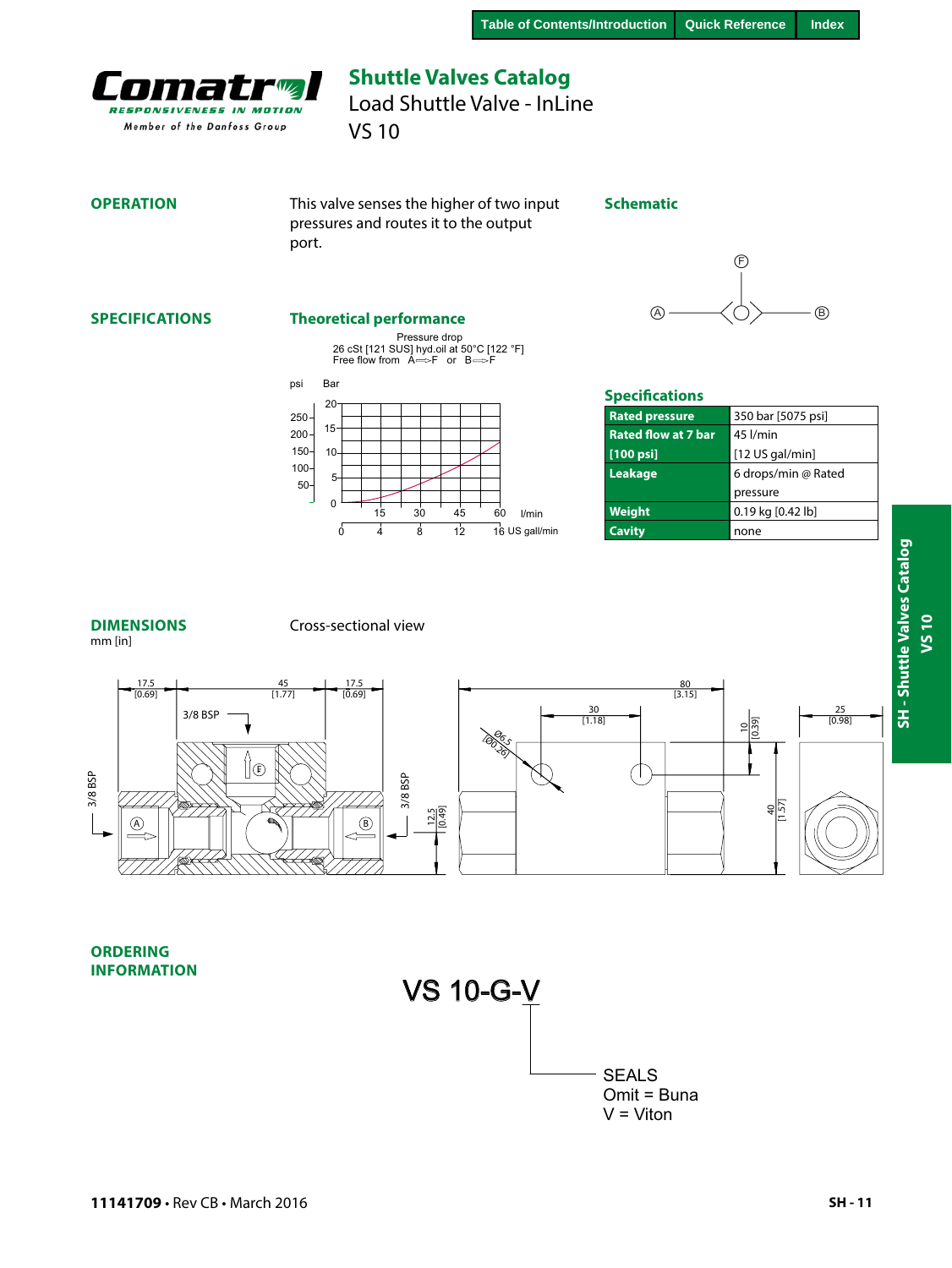<span id="page-10-0"></span>

## **Shuttle Valves Catalog** Load Shuttle Valve - InLine

VS 10

#### **OPERATION**

This valve senses the higher of two input pressures and routes it to the output port.

#### **Schematic**

#### **SPECIFICATIONS**

#### **Theoretical performance**

Pressure drop<br>26 cSt [121 SUS] hyd.oil at 50°C [122 °F]<br>Free flow from A━►F or B━►F





 $\bigoplus$ 

| <b>Rated pressure</b>      | 350 bar [5075 psi]  |
|----------------------------|---------------------|
| <b>Rated flow at 7 bar</b> | 45 l/min            |
| $[100$ psi]                | [12 US gal/min]     |
| Leakage                    | 6 drops/min @ Rated |
|                            | pressure            |
| Weight                     | 0.19 kg [0.42 lb]   |
| <b>Cavity</b>              | none                |

#### **DIMENSIONS** mm [in]

#### Cross-sectional view



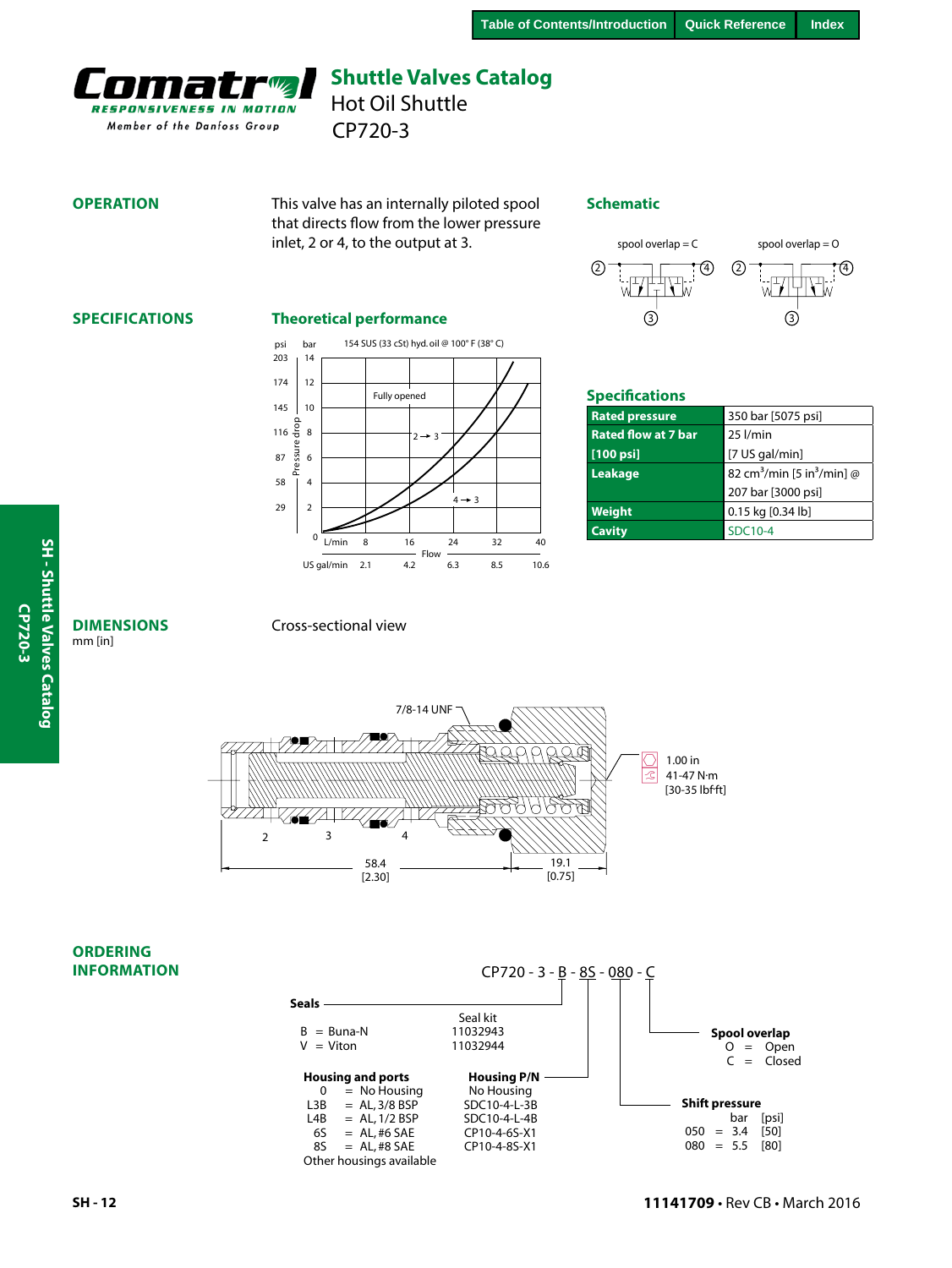<span id="page-11-0"></span>

CP720-3 Hot Oil Shuttle

#### **OPERATION**

This valve has an internally piloted spool that directs flow from the lower pressure inlet, 2 or 4, to the output at 3.

#### **Schematic**



#### **SPECIFICATIONS**

#### **Theoretical performance**



| <b>Specifications</b>      |                                                    |  |
|----------------------------|----------------------------------------------------|--|
| <b>Rated pressure</b>      | 350 bar [5075 psi]                                 |  |
| <b>Rated flow at 7 bar</b> | $25$ $l/min$                                       |  |
| $[100 \text{ psi}]$        | [7 US gal/min]                                     |  |
| Leakage                    | 82 cm <sup>3</sup> /min [5 in <sup>3</sup> /min] @ |  |
|                            | 207 bar [3000 psi]                                 |  |
| <b>Weight</b>              | 0.15 kg [0.34 lb]                                  |  |
| <b>Cavity</b>              | SDC10-4                                            |  |

#### **DIMENSIONS** mm [in]

#### Cross-sectional view



|                          |                    | CP720 - 3 - B - 8S - 080 - C |
|--------------------------|--------------------|------------------------------|
| <b>Seals</b>             |                    |                              |
|                          | Seal kit           |                              |
| $B = Buna-N$             | 11032943           | Spool overlap                |
| $V = V$ iton             | 11032944           | $\circ$<br>$=$ Open          |
|                          |                    | $=$ Closed                   |
| <b>Housing and ports</b> | <b>Housing P/N</b> |                              |
| $=$ No Housing<br>0      | No Housing         |                              |
| $= AL, 3/8$ BSP<br>L3B   | SDC10-4-L-3B       | <b>Shift pressure</b>        |
| L4B<br>$= AL, 1/2 BSP$   | SDC10-4-L-4B       | bar<br>[psi]                 |
| 6S<br>$= AL.H6 SAE$      | CP10-4-6S-X1       | [50]<br>$= 3.4$<br>050       |
| 85<br>$= AL$ , #8 SAE    | CP10-4-8S-X1       | [80]<br>080<br>$= 5.5$       |
| Other housings available |                    |                              |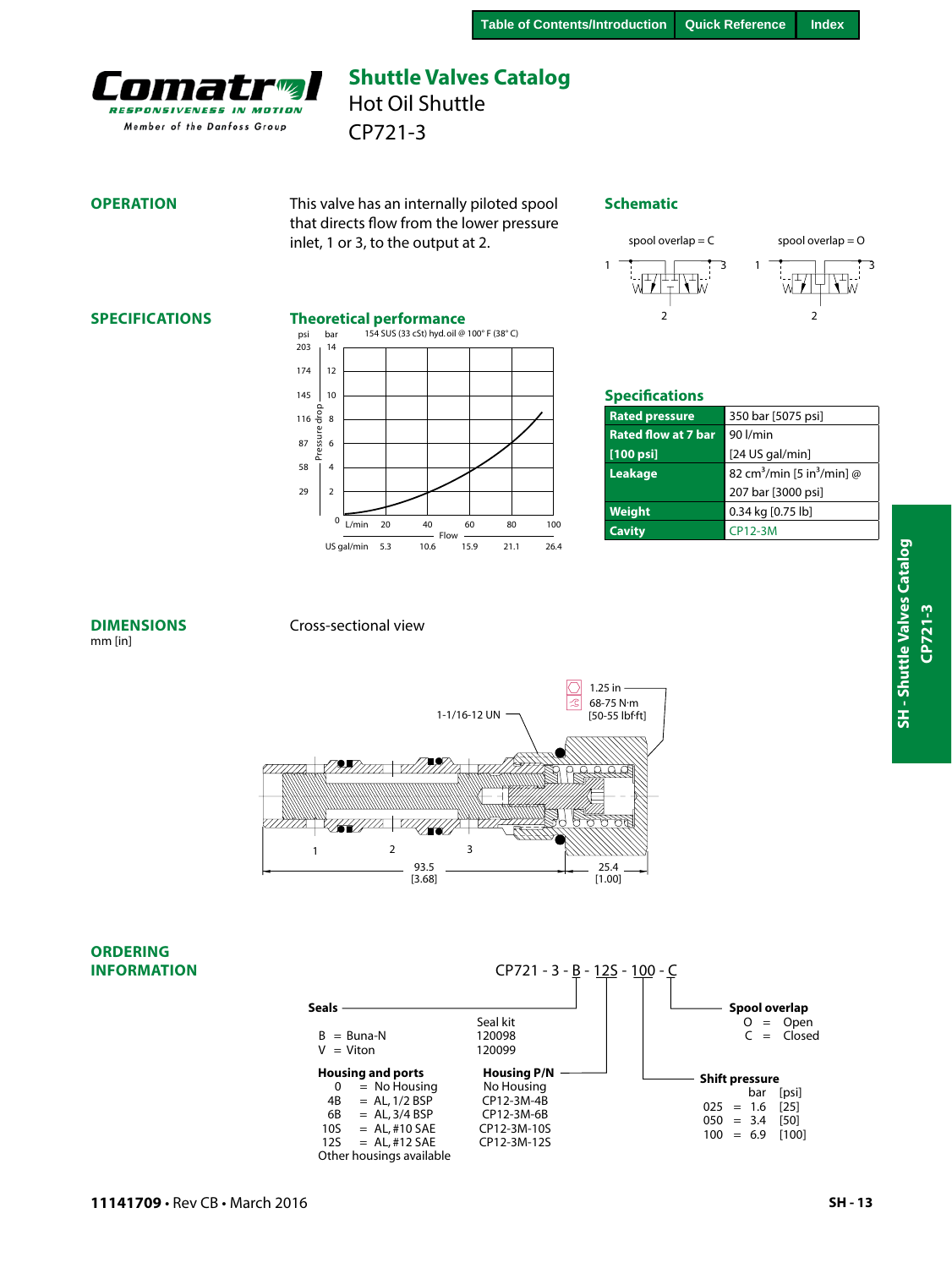<span id="page-12-0"></span>

CP721-3 Hot Oil Shuttle

#### **OPERATION**

This valve has an internally piloted spool that directs flow from the lower pressure inlet, 1 or 3, to the output at 2.

#### **Schematic**



 $1$   $\frac{1}{2}$   $\frac{1}{2}$   $\frac{1}{2}$   $\frac{1}{2}$   $\frac{1}{2}$   $\frac{1}{2}$   $\frac{1}{2}$   $\frac{1}{2}$   $\frac{1}{2}$   $\frac{1}{2}$   $\frac{1}{2}$   $\frac{1}{2}$   $\frac{1}{2}$   $\frac{1}{2}$   $\frac{1}{2}$   $\frac{1}{2}$   $\frac{1}{2}$   $\frac{1}{2}$   $\frac{1}{2}$   $\frac{1}{2}$   $\frac{1}{2}$   $\frac{1}{2$ 

 $\overline{2}$ 

#### **SPECIFICATIONS**

#### **Theoretical performance**



| <b>Specifications</b>      |                                                    |  |
|----------------------------|----------------------------------------------------|--|
| <b>Rated pressure</b>      | 350 bar [5075 psi]                                 |  |
| <b>Rated flow at 7 bar</b> | 90 l/min                                           |  |
| $[100$ psi]                | [24 US gal/min]                                    |  |
| Leakage                    | 82 cm <sup>3</sup> /min [5 in <sup>3</sup> /min] @ |  |
|                            | 207 bar [3000 psi]                                 |  |
| Weight                     | 0.34 kg [0.75 lb]                                  |  |
| <b>Cavity</b>              | <b>CP12-3M</b>                                     |  |

#### **DIMENSIONS** mm [in]

#### Cross-sectional view